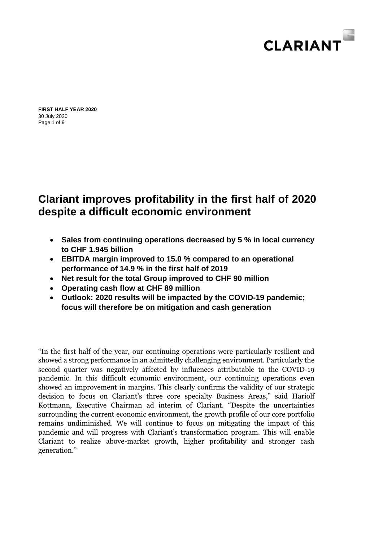

Page 1 of 9 **FIRST HALF YEAR 2020** 30 July 2020

# **Clariant improves profitability in the first half of 2020 despite a difficult economic environment**

- **Sales from continuing operations decreased by 5 % in local currency to CHF 1.945 billion**
- **EBITDA margin improved to 15.0 % compared to an operational performance of 14.9 % in the first half of 2019**
- **Net result for the total Group improved to CHF 90 million**
- **Operating cash flow at CHF 89 million**
- **Outlook: 2020 results will be impacted by the COVID-19 pandemic; focus will therefore be on mitigation and cash generation**

"In the first half of the year, our continuing operations were particularly resilient and showed a strong performance in an admittedly challenging environment. Particularly the second quarter was negatively affected by influences attributable to the COVID-19 pandemic. In this difficult economic environment, our continuing operations even showed an improvement in margins. This clearly confirms the validity of our strategic decision to focus on Clariant's three core specialty Business Areas," said Hariolf Kottmann, Executive Chairman ad interim of Clariant. "Despite the uncertainties surrounding the current economic environment, the growth profile of our core portfolio remains undiminished. We will continue to focus on mitigating the impact of this pandemic and will progress with Clariant's transformation program. This will enable Clariant to realize above-market growth, higher profitability and stronger cash generation."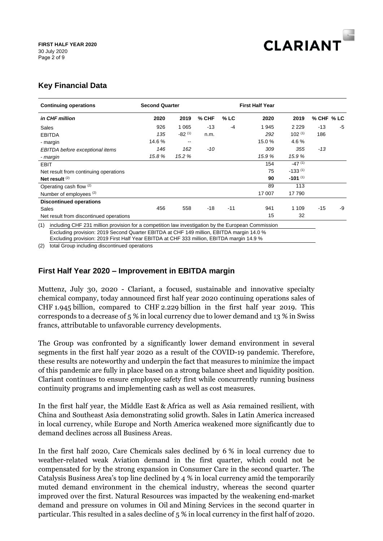

# **Key Financial Data**

| <b>Continuing operations</b>                                                                              | <b>Second Quarter</b> |                          |       | <b>First Half Year</b> |        |                      |            |    |
|-----------------------------------------------------------------------------------------------------------|-----------------------|--------------------------|-------|------------------------|--------|----------------------|------------|----|
| in CHF million                                                                                            | 2020                  | 2019                     | % CHF | $%$ LC                 | 2020   | 2019                 | % CHF % LC |    |
| Sales                                                                                                     | 926                   | 1 0 6 5                  | $-13$ | -4                     | 1945   | 2 2 2 9              | $-13$      | -5 |
| <b>EBITDA</b>                                                                                             | 135                   | $-82^{(1)}$              | n.m.  |                        | 292    | $102^{(1)}$          | 186        |    |
| - margin                                                                                                  | 14.6%                 | $\overline{\phantom{m}}$ |       |                        | 15.0%  | 4.6%                 |            |    |
| EBITDA before exceptional items                                                                           | 146                   | 162                      | -10   |                        | 309    | 355                  | $-13$      |    |
| - margin                                                                                                  | 15.8%                 | 15.2 %                   |       |                        | 15.9%  | 15.9%                |            |    |
| <b>EBIT</b>                                                                                               |                       |                          |       |                        | 154    | $-47$ <sup>(1)</sup> |            |    |
| Net result from continuing operations                                                                     |                       |                          |       |                        | 75     | $-133^{(1)}$         |            |    |
| Net result $(2)$                                                                                          |                       |                          |       |                        | 90     | $-101^{(1)}$         |            |    |
| Operating cash flow (2)                                                                                   |                       |                          |       |                        | 89     | 113                  |            |    |
| Number of employees (2)                                                                                   |                       |                          |       |                        | 17 007 | 17 790               |            |    |
| <b>Discontinued operations</b>                                                                            |                       |                          |       |                        |        |                      |            |    |
| Sales                                                                                                     | 456                   | 558                      | $-18$ | $-11$                  | 941    | 1 1 0 9              | $-15$      | -9 |
| Net result from discontinued operations                                                                   |                       |                          |       |                        | 15     | 32                   |            |    |
| (1)<br>including CHF 231 million provision for a competition law investigation by the European Commission |                       |                          |       |                        |        |                      |            |    |
| Excluding provision: 2019 Second Quarter EBITDA at CHF 149 million, EBITDA margin 14.0 %                  |                       |                          |       |                        |        |                      |            |    |

Excluding provision: 2019 First Half Year EBITDA at CHF 333 million, EBITDA margin 14.9 %

(2) total Group including discontinued operations

## **First Half Year 2020 – Improvement in EBITDA margin**

Muttenz, July 30, 2020 - Clariant, a focused, sustainable and innovative specialty chemical company, today announced first half year 2020 continuing operations sales of CHF 1.945 billion, compared to CHF 2.229 billion in the first half year 2019. This corresponds to a decrease of 5 % in local currency due to lower demand and 13 % in Swiss francs, attributable to unfavorable currency developments.

The Group was confronted by a significantly lower demand environment in several segments in the first half year 2020 as a result of the COVID-19 pandemic. Therefore, these results are noteworthy and underpin the fact that measures to minimize the impact of this pandemic are fully in place based on a strong balance sheet and liquidity position. Clariant continues to ensure employee safety first while concurrently running business continuity programs and implementing cash as well as cost measures.

In the first half year, the Middle East & Africa as well as Asia remained resilient, with China and Southeast Asia demonstrating solid growth. Sales in Latin America increased in local currency, while Europe and North America weakened more significantly due to demand declines across all Business Areas.

In the first half 2020, Care Chemicals sales declined by 6 % in local currency due to weather-related weak Aviation demand in the first quarter, which could not be compensated for by the strong expansion in Consumer Care in the second quarter. The Catalysis Business Area's top line declined by 4 % in local currency amid the temporarily muted demand environment in the chemical industry, whereas the second quarter improved over the first. Natural Resources was impacted by the weakening end-market demand and pressure on volumes in Oil and Mining Services in the second quarter in particular. This resulted in a sales decline of 5 % in local currency in the first half of 2020.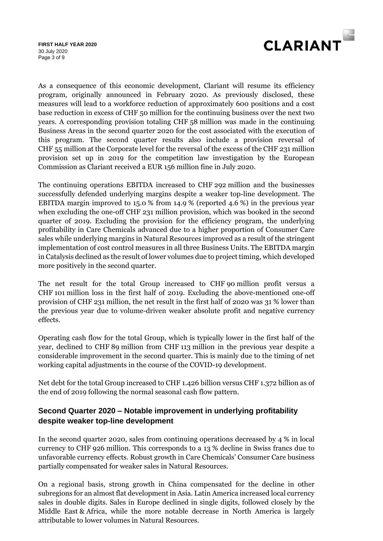Page 3 of 9 **FIRST HALF YEAR 2020** 30 July 2020



As a consequence of this economic development, Clariant will resume its efficiency program, originally announced in February 2020. As previously disclosed, these measures will lead to a workforce reduction of approximately 600 positions and a cost base reduction in excess of CHF 50 million for the continuing business over the next two years. A corresponding provision totaling CHF 58 million was made in the continuing Business Areas in the second quarter 2020 for the cost associated with the execution of this program. The second quarter results also include a provision reversal of CHF 55 million at the Corporate level for the reversal of the excess of the CHF 231 million provision set up in 2019 for the competition law investigation by the European Commission as Clariant received a EUR 156 million fine in July 2020.

The continuing operations EBITDA increased to CHF 292 million and the businesses successfully defended underlying margins despite a weaker top-line development. The EBITDA margin improved to 15.0 % from 14.9 % (reported 4.6 %) in the previous year when excluding the one-off CHF 231 million provision, which was booked in the second quarter of 2019. Excluding the provision for the efficiency program, the underlying profitability in Care Chemicals advanced due to a higher proportion of Consumer Care sales while underlying margins in Natural Resources improved as a result of the stringent implementation of cost control measures in all three Business Units. The EBITDA margin in Catalysis declined as the result of lower volumes due to project timing, which developed more positively in the second quarter.

The net result for the total Group increased to CHF 90 million profit versus a CHF 101 million loss in the first half of 2019. Excluding the above-mentioned one-off provision of CHF 231 million, the net result in the first half of 2020 was 31 % lower than the previous year due to volume-driven weaker absolute profit and negative currency effects.

Operating cash flow for the total Group, which is typically lower in the first half of the year, declined to CHF 89 million from CHF 113 million in the previous year despite a considerable improvement in the second quarter. This is mainly due to the timing of net working capital adjustments in the course of the COVID-19 development.

Net debt for the total Group increased to CHF 1.426 billion versus CHF 1.372 billion as of the end of 2019 following the normal seasonal cash flow pattern.

# **Second Quarter 2020 – Notable improvement in underlying profitability despite weaker top-line development**

In the second quarter 2020, sales from continuing operations decreased by 4 % in local currency to CHF 926 million. This corresponds to a 13 % decline in Swiss francs due to unfavorable currency effects. Robust growth in Care Chemicals' Consumer Care business partially compensated for weaker sales in Natural Resources.

On a regional basis, strong growth in China compensated for the decline in other subregions for an almost flat development in Asia. Latin America increased local currency sales in double digits. Sales in Europe declined in single digits, followed closely by the Middle East & Africa, while the more notable decrease in North America is largely attributable to lower volumes in Natural Resources.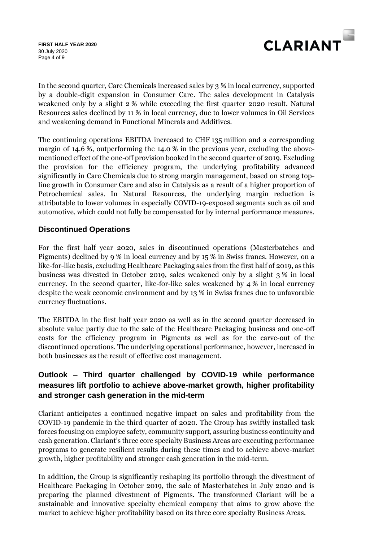Page 4 of 9 **FIRST HALF YEAR 2020** 30 July 2020



In the second quarter, Care Chemicals increased sales by 3 % in local currency, supported by a double-digit expansion in Consumer Care. The sales development in Catalysis weakened only by a slight 2 % while exceeding the first quarter 2020 result. Natural Resources sales declined by 11 % in local currency, due to lower volumes in Oil Services and weakening demand in Functional Minerals and Additives.

The continuing operations EBITDA increased to CHF 135 million and a corresponding margin of 14.6 %, outperforming the 14.0 % in the previous year, excluding the abovementioned effect of the one-off provision booked in the second quarter of 2019. Excluding the provision for the efficiency program, the underlying profitability advanced significantly in Care Chemicals due to strong margin management, based on strong topline growth in Consumer Care and also in Catalysis as a result of a higher proportion of Petrochemical sales. In Natural Resources, the underlying margin reduction is attributable to lower volumes in especially COVID-19-exposed segments such as oil and automotive, which could not fully be compensated for by internal performance measures.

# **Discontinued Operations**

For the first half year 2020, sales in discontinued operations (Masterbatches and Pigments) declined by 9 % in local currency and by 15 % in Swiss francs. However, on a like-for-like basis, excluding Healthcare Packaging sales from the first half of 2019, as this business was divested in October 2019, sales weakened only by a slight 3 % in local currency. In the second quarter, like-for-like sales weakened by  $4\%$  in local currency despite the weak economic environment and by 13 % in Swiss francs due to unfavorable currency fluctuations.

The EBITDA in the first half year 2020 as well as in the second quarter decreased in absolute value partly due to the sale of the Healthcare Packaging business and one-off costs for the efficiency program in Pigments as well as for the carve-out of the discontinued operations. The underlying operational performance, however, increased in both businesses as the result of effective cost management.

# **Outlook – Third quarter challenged by COVID-19 while performance measures lift portfolio to achieve above-market growth, higher profitability and stronger cash generation in the mid-term**

Clariant anticipates a continued negative impact on sales and profitability from the COVID-19 pandemic in the third quarter of 2020. The Group has swiftly installed task forces focusing on employee safety, community support, assuring business continuity and cash generation. Clariant's three core specialty Business Areas are executing performance programs to generate resilient results during these times and to achieve above-market growth, higher profitability and stronger cash generation in the mid-term.

In addition, the Group is significantly reshaping its portfolio through the divestment of Healthcare Packaging in October 2019, the sale of Masterbatches in July 2020 and is preparing the planned divestment of Pigments. The transformed Clariant will be a sustainable and innovative specialty chemical company that aims to grow above the market to achieve higher profitability based on its three core specialty Business Areas.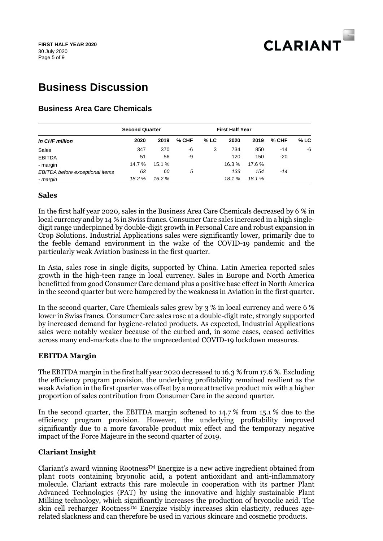

# **Business Discussion**

## **Business Area Care Chemicals**

|                                 | <b>Second Quarter</b> |        |         |      | <b>First Half Year</b> |       |         |        |
|---------------------------------|-----------------------|--------|---------|------|------------------------|-------|---------|--------|
| in CHF million                  | 2020                  | 2019   | $%$ CHF | % LC | 2020                   | 2019  | $%$ CHF | $%$ LC |
| Sales                           | 347                   | 370    | -6      | 3    | 734                    | 850   | $-14$   | -6     |
| <b>EBITDA</b>                   | 51                    | 56     | -9      |      | 120                    | 150   | $-20$   |        |
| - margin                        | 14.7 %                | 15.1 % |         |      | 16.3%                  | 17.6% |         |        |
| EBITDA before exceptional items | 63                    | 60     | 5       |      | 133                    | 154   | -14     |        |
| - margin                        | 18.2 %                | 16.2 % |         |      | 18.1%                  | 18.1% |         |        |

#### **Sales**

In the first half year 2020, sales in the Business Area Care Chemicals decreased by 6 % in local currency and by 14 % in Swiss francs. Consumer Care sales increased in a high singledigit range underpinned by double-digit growth in Personal Care and robust expansion in Crop Solutions. Industrial Applications sales were significantly lower, primarily due to the feeble demand environment in the wake of the COVID-19 pandemic and the particularly weak Aviation business in the first quarter.

In Asia, sales rose in single digits, supported by China. Latin America reported sales growth in the high-teen range in local currency. Sales in Europe and North America benefitted from good Consumer Care demand plus a positive base effect in North America in the second quarter but were hampered by the weakness in Aviation in the first quarter.

In the second quarter, Care Chemicals sales grew by 3 % in local currency and were 6 % lower in Swiss francs. Consumer Care sales rose at a double-digit rate, strongly supported by increased demand for hygiene-related products. As expected, Industrial Applications sales were notably weaker because of the curbed and, in some cases, ceased activities across many end-markets due to the unprecedented COVID-19 lockdown measures.

#### **EBITDA Margin**

The EBITDA margin in the first half year 2020 decreased to 16.3 % from 17.6 %. Excluding the efficiency program provision, the underlying profitability remained resilient as the weak Aviation in the first quarter was offset by a more attractive product mix with a higher proportion of sales contribution from Consumer Care in the second quarter.

In the second quarter, the EBITDA margin softened to 14.7 % from 15.1 % due to the efficiency program provision. However, the underlying profitability improved significantly due to a more favorable product mix effect and the temporary negative impact of the Force Majeure in the second quarter of 2019.

#### **Clariant Insight**

Clariant's award winning Rootness<sup>TM</sup> Energize is a new active ingredient obtained from plant roots containing bryonolic acid, a potent antioxidant and anti-inflammatory molecule. Clariant extracts this rare molecule in cooperation with its partner Plant Advanced Technologies (PAT) by using the innovative and highly sustainable Plant Milking technology, which significantly increases the production of bryonolic acid. The skin cell recharger Rootness<sup>TM</sup> Energize visibly increases skin elasticity, reduces agerelated slackness and can therefore be used in various skincare and cosmetic products.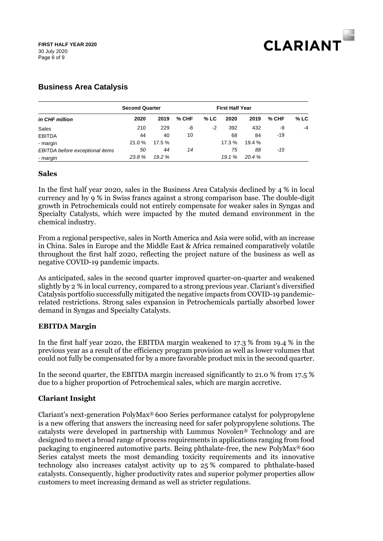

# **Business Area Catalysis**

|                                 | <b>Second Quarter</b> |        |       |      | <b>First Half Year</b> |        |       |        |
|---------------------------------|-----------------------|--------|-------|------|------------------------|--------|-------|--------|
| in CHF million                  | 2020                  | 2019   | % CHF | % LC | 2020                   | 2019   | % CHF | $%$ LC |
| Sales                           | 210                   | 229    | -8    | -2   | 392                    | 432    | -9    | $-4$   |
| <b>EBITDA</b>                   | 44                    | 40     | 10    |      | 68                     | 84     | -19   |        |
| - margin                        | 21.0%                 | 17.5 % |       |      | 17.3 %                 | 19.4 % |       |        |
| EBITDA before exceptional items | 50                    | 44     | 14    |      | 75                     | 88     | -15   |        |
| - margin                        | 23.8%                 | 19.2%  |       |      | 19.1%                  | 20.4%  |       |        |

#### **Sales**

In the first half year 2020, sales in the Business Area Catalysis declined by 4 % in local currency and by 9 % in Swiss francs against a strong comparison base. The double-digit growth in Petrochemicals could not entirely compensate for weaker sales in Syngas and Specialty Catalysts, which were impacted by the muted demand environment in the chemical industry.

From a regional perspective, sales in North America and Asia were solid, with an increase in China. Sales in Europe and the Middle East & Africa remained comparatively volatile throughout the first half 2020, reflecting the project nature of the business as well as negative COVID-19 pandemic impacts.

As anticipated, sales in the second quarter improved quarter-on-quarter and weakened slightly by 2 % in local currency, compared to a strong previous year. Clariant's diversified Catalysis portfolio successfully mitigated the negative impacts from COVID-19 pandemicrelated restrictions. Strong sales expansion in Petrochemicals partially absorbed lower demand in Syngas and Specialty Catalysts.

#### **EBITDA Margin**

In the first half year 2020, the EBITDA margin weakened to 17.3 % from 19.4 % in the previous year as a result of the efficiency program provision as well as lower volumes that could not fully be compensated for by a more favorable product mix in the second quarter.

In the second quarter, the EBITDA margin increased significantly to 21.0 % from 17.5 % due to a higher proportion of Petrochemical sales, which are margin accretive.

#### **Clariant Insight**

Clariant's next-generation PolyMax® 600 Series performance catalyst for polypropylene is a new offering that answers the increasing need for safer polypropylene solutions. The catalysts were developed in partnership with Lummus Novolen® Technology and are designed to meet a broad range of process requirements in applications ranging from food packaging to engineered automotive parts. Being phthalate-free, the new PolyMax® 600 Series catalyst meets the most demanding toxicity requirements and its innovative technology also increases catalyst activity up to 25 % compared to phthalate-based catalysts. Consequently, higher productivity rates and superior polymer properties allow customers to meet increasing demand as well as stricter regulations.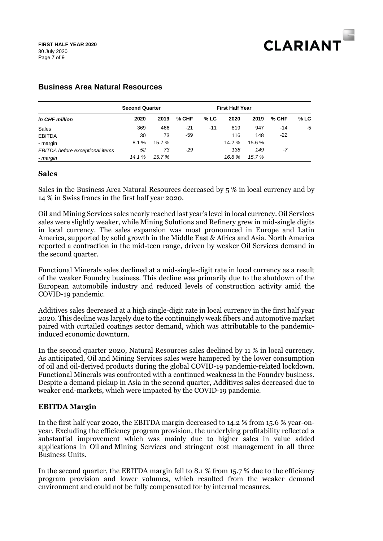

|                                 | <b>Second Quarter</b> |        |         |       | <b>First Half Year</b> |       |         |        |
|---------------------------------|-----------------------|--------|---------|-------|------------------------|-------|---------|--------|
| in CHF million                  | 2020                  | 2019   | $%$ CHF | % LC  | 2020                   | 2019  | $%$ CHF | $%$ LC |
| Sales                           | 369                   | 466    | $-21$   | $-11$ | 819                    | 947   | $-14$   | -5     |
| <b>EBITDA</b>                   | 30                    | 73     | -59     |       | 116                    | 148   | $-22$   |        |
| - margin                        | 8.1%                  | 15.7 % |         |       | 14.2 %                 | 15.6% |         |        |
| EBITDA before exceptional items | 52                    | 73     | -29     |       | 138                    | 149   | -7      |        |
| - margin                        | 14.1%                 | 15.7 % |         |       | 16.8%                  | 15.7% |         |        |

#### **Business Area Natural Resources**

#### **Sales**

Sales in the Business Area Natural Resources decreased by 5 % in local currency and by 14 % in Swiss francs in the first half year 2020.

Oil and Mining Services sales nearly reached last year's level in local currency. Oil Services sales were slightly weaker, while Mining Solutions and Refinery grew in mid-single digits in local currency. The sales expansion was most pronounced in Europe and Latin America, supported by solid growth in the Middle East & Africa and Asia. North America reported a contraction in the mid-teen range, driven by weaker Oil Services demand in the second quarter.

Functional Minerals sales declined at a mid-single-digit rate in local currency as a result of the weaker Foundry business. This decline was primarily due to the shutdown of the European automobile industry and reduced levels of construction activity amid the COVID-19 pandemic.

Additives sales decreased at a high single-digit rate in local currency in the first half year 2020. This decline was largely due to the continuingly weak fibers and automotive market paired with curtailed coatings sector demand, which was attributable to the pandemicinduced economic downturn.

In the second quarter 2020, Natural Resources sales declined by 11 % in local currency. As anticipated, Oil and Mining Services sales were hampered by the lower consumption of oil and oil-derived products during the global COVID-19 pandemic-related lockdown. Functional Minerals was confronted with a continued weakness in the Foundry business. Despite a demand pickup in Asia in the second quarter, Additives sales decreased due to weaker end-markets, which were impacted by the COVID-19 pandemic.

#### **EBITDA Margin**

In the first half year 2020, the EBITDA margin decreased to 14.2 % from 15.6 % year-onyear. Excluding the efficiency program provision, the underlying profitability reflected a substantial improvement which was mainly due to higher sales in value added applications in Oil and Mining Services and stringent cost management in all three Business Units.

In the second quarter, the EBITDA margin fell to 8.1 % from 15.7 % due to the efficiency program provision and lower volumes, which resulted from the weaker demand environment and could not be fully compensated for by internal measures.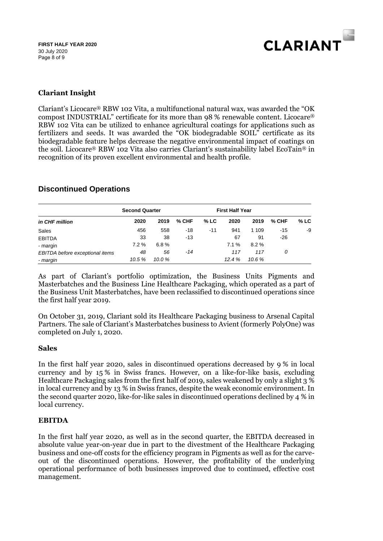

#### **Clariant Insight**

Clariant's Licocare® RBW 102 Vita, a multifunctional natural wax, was awarded the "OK compost INDUSTRIAL" certificate for its more than 98 % renewable content. Licocare® RBW 102 Vita can be utilized to enhance agricultural coatings for applications such as fertilizers and seeds. It was awarded the "OK biodegradable SOIL" certificate as its biodegradable feature helps decrease the negative environmental impact of coatings on the soil. Licocare® RBW 102 Vita also carries Clariant's sustainability label EcoTain® in recognition of its proven excellent environmental and health profile.

## **Discontinued Operations**

| in CHF million                  | <b>Second Quarter</b> |        |         |        | <b>First Half Year</b> |         |       |        |
|---------------------------------|-----------------------|--------|---------|--------|------------------------|---------|-------|--------|
|                                 | 2020                  | 2019   | $%$ CHF | $%$ LC | 2020                   | 2019    | % CHF | $%$ LC |
| Sales                           | 456                   | 558    | -18     | $-11$  | 941                    | 1 1 0 9 | -15   | -9     |
| <b>EBITDA</b>                   | 33                    | 38     | -13     |        | 67                     | 91      | -26   |        |
| - margin                        | 7.2%                  | 6.8%   |         |        | 7.1%                   | $8.2\%$ |       |        |
| EBITDA before exceptional items | 48                    | 56     | $-14$   |        | 117                    | 117     | 0     |        |
| - margin                        | 10.5%                 | 10.0 % |         |        | 12.4%                  | 10.6%   |       |        |

As part of Clariant's portfolio optimization, the Business Units Pigments and Masterbatches and the Business Line Healthcare Packaging, which operated as a part of the Business Unit Masterbatches, have been reclassified to discontinued operations since the first half year 2019.

On October 31, 2019, Clariant sold its Healthcare Packaging business to Arsenal Capital Partners. The sale of Clariant's Masterbatches business to Avient (formerly PolyOne) was completed on July 1, 2020.

#### **Sales**

In the first half year 2020, sales in discontinued operations decreased by 9 % in local currency and by 15 % in Swiss francs. However, on a like-for-like basis, excluding Healthcare Packaging sales from the first half of 2019, sales weakened by only a slight 3 % in local currency and by 13 % in Swiss francs, despite the weak economic environment. In the second quarter 2020, like-for-like sales in discontinued operations declined by 4 % in local currency.

#### **EBITDA**

In the first half year 2020, as well as in the second quarter, the EBITDA decreased in absolute value year-on-year due in part to the divestment of the Healthcare Packaging business and one-off costs for the efficiency program in Pigments as well as for the carveout of the discontinued operations. However, the profitability of the underlying operational performance of both businesses improved due to continued, effective cost management.